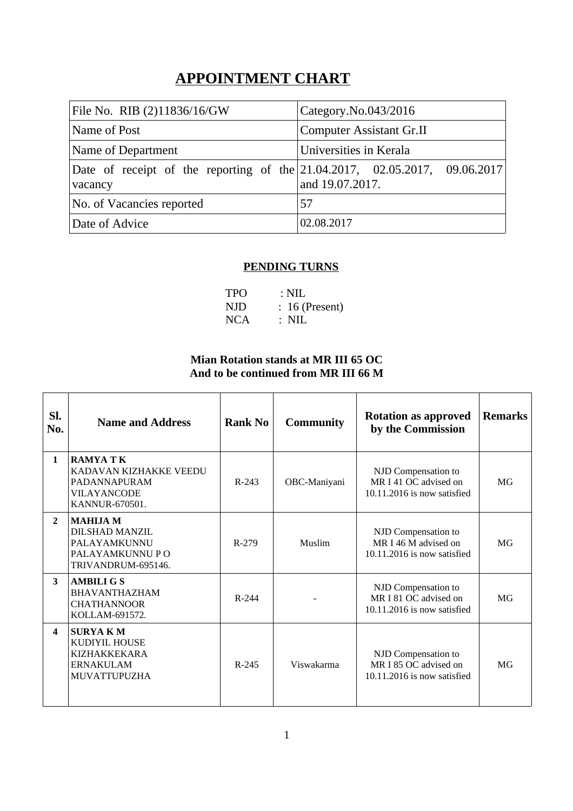# **APPOINTMENT CHART**

| File No. RIB (2)11836/16/GW                                                           | Category.No.043/2016            |  |  |  |
|---------------------------------------------------------------------------------------|---------------------------------|--|--|--|
| Name of Post                                                                          | <b>Computer Assistant Gr.II</b> |  |  |  |
| Name of Department                                                                    | Universities in Kerala          |  |  |  |
| Date of receipt of the reporting of the 21.04.2017, 02.05.2017, 09.06.2017<br>vacancy | and 19.07.2017.                 |  |  |  |
| No. of Vacancies reported                                                             | 57                              |  |  |  |
| Date of Advice                                                                        | 02.08.2017                      |  |  |  |

## **PENDING TURNS**

| <b>TPO</b> | $\therefore$ NIL |
|------------|------------------|
| NJD        | $: 16$ (Present) |
| <b>NCA</b> | : NIL            |

### **Mian Rotation stands at MR III 65 OC And to be continued from MR III 66 M**

| SI.<br>No.       | <b>Name and Address</b>                                                                           | <b>Rank No</b> | <b>Community</b> | <b>Rotation as approved</b><br>by the Commission                              | <b>Remarks</b>  |
|------------------|---------------------------------------------------------------------------------------------------|----------------|------------------|-------------------------------------------------------------------------------|-----------------|
| $\mathbf{1}$     | <b>RAMYA TK</b><br>KADAVAN KIZHAKKE VEEDU<br>PADANNAPURAM<br><b>VILAYANCODE</b><br>KANNUR-670501. | $R-243$        | OBC-Maniyani     | NJD Compensation to<br>MR I 41 OC advised on<br>10.11.2016 is now satisfied   | MG              |
| $\overline{2}$   | <b>MAHIJA M</b><br>DILSHAD MANZIL<br>PALAYAMKUNNU<br>PALAYAMKUNNU P O<br>TRIVANDRUM-695146.       | $R-279$        | Muslim           | NJD Compensation to<br>MR I 46 M advised on<br>$10.11.2016$ is now satisfied  | MG              |
| 3                | <b>AMBILI G S</b><br><b>BHAVANTHAZHAM</b><br><b>CHATHANNOOR</b><br>KOLLAM-691572.                 | $R - 244$      |                  | NJD Compensation to<br>MR I 81 OC advised on<br>$10.11.2016$ is now satisfied | MG <sub>T</sub> |
| $\boldsymbol{4}$ | <b>SURYAKM</b><br><b>KUDIYIL HOUSE</b><br><b>KIZHAKKEKARA</b><br><b>ERNAKULAM</b><br>MUVATTUPUZHA | $R - 245$      | Viswakarma       | NJD Compensation to<br>MR I 85 OC advised on<br>$10.11.2016$ is now satisfied | MG <sub>T</sub> |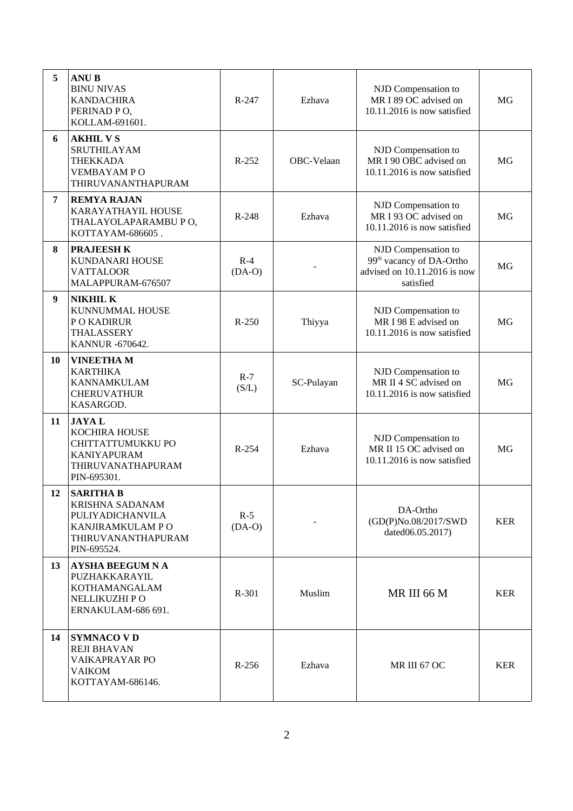| 5  | <b>ANUB</b><br><b>BINU NIVAS</b><br><b>KANDACHIRA</b><br>PERINAD PO,<br>KOLLAM-691601.                            | R-247             | Ezhava     | NJD Compensation to<br>MR I 89 OC advised on<br>$10.11.2016$ is now satisfied                            | MG         |
|----|-------------------------------------------------------------------------------------------------------------------|-------------------|------------|----------------------------------------------------------------------------------------------------------|------------|
| 6  | <b>AKHIL VS</b><br>SRUTHILAYAM<br><b>THEKKADA</b><br><b>VEMBAYAMPO</b><br>THIRUVANANTHAPURAM                      | R-252             | OBC-Velaan | NJD Compensation to<br>MR I 90 OBC advised on<br>10.11.2016 is now satisfied                             | MG         |
| 7  | <b>REMYA RAJAN</b><br>KARAYATHAYIL HOUSE<br>THALAYOLAPARAMBU PO,<br>KOTTAYAM-686605.                              | R-248             | Ezhava     | NJD Compensation to<br>MR I 93 OC advised on<br>10.11.2016 is now satisfied                              | MG         |
| 8  | <b>PRAJEESH K</b><br>KUNDANARI HOUSE<br><b>VATTALOOR</b><br>MALAPPURAM-676507                                     | $R-4$<br>$(DA-O)$ |            | NJD Compensation to<br>99 <sup>th</sup> vacancy of DA-Ortho<br>advised on 10.11.2016 is now<br>satisfied | MG         |
| 9  | <b>NIKHIL K</b><br>KUNNUMMAL HOUSE<br>P O KADIRUR<br>THALASSERY<br>KANNUR -670642.                                | $R - 250$         | Thiyya     | NJD Compensation to<br>MR I 98 E advised on<br>10.11.2016 is now satisfied                               | <b>MG</b>  |
| 10 | <b>VINEETHAM</b><br><b>KARTHIKA</b><br><b>KANNAMKULAM</b><br><b>CHERUVATHUR</b><br>KASARGOD.                      | $R-7$<br>(S/L)    | SC-Pulayan | NJD Compensation to<br>MR II 4 SC advised on<br>$10.11.2016$ is now satisfied                            | MG         |
| 11 | <b>JAYAL</b><br>KOCHIRA HOUSE<br>CHITTATTUMUKKU PO<br><b>KANIYAPURAM</b><br>THIRUVANATHAPURAM<br>PIN-695301.      | R-254             | Ezhava     | NJD Compensation to<br>MR II 15 OC advised on<br>10.11.2016 is now satisfied                             | MG         |
| 12 | <b>SARITHA B</b><br>KRISHNA SADANAM<br>PULIYADICHANVILA<br>KANJIRAMKULAM P O<br>THIRUVANANTHAPURAM<br>PIN-695524. | $R-5$<br>$(DA-O)$ |            | DA-Ortho<br>(GD(P)No.08/2017/SWD<br>dated06.05.2017)                                                     | <b>KER</b> |
| 13 | <b>AYSHA BEEGUM N A</b><br>PUZHAKKARAYIL<br>KOTHAMANGALAM<br>NELLIKUZHI PO<br>ERNAKULAM-686 691.                  | R-301             | Muslim     | MR III 66 M                                                                                              | <b>KER</b> |
| 14 | <b>SYMNACO VD</b><br><b>REJI BHAVAN</b><br>VAIKAPRAYAR PO<br>VAIKOM<br>KOTTAYAM-686146.                           | R-256             | Ezhava     | MR III 67 OC                                                                                             | <b>KER</b> |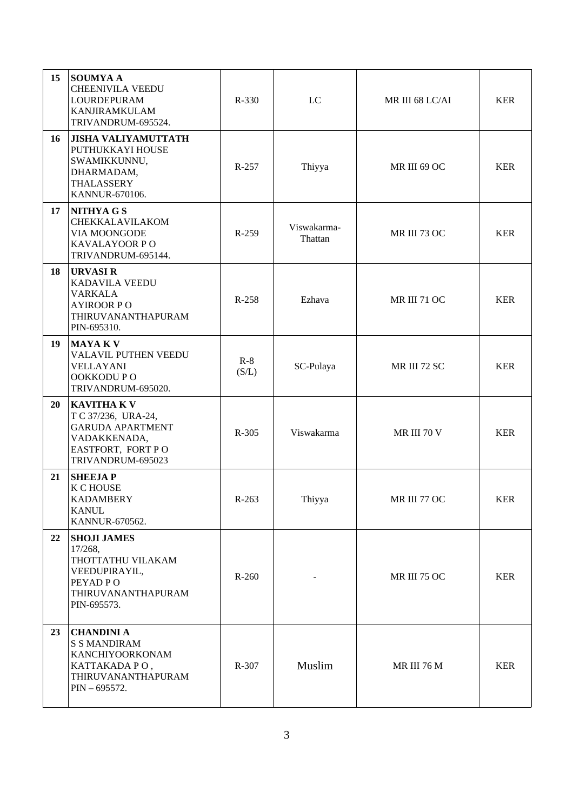| 15 | <b>SOUMYAA</b><br><b>CHEENIVILA VEEDU</b><br>LOURDEPURAM<br><b>KANJIRAMKULAM</b><br>TRIVANDRUM-695524.                         | R-330          | LC                     | MR III 68 LC/AI     | <b>KER</b> |
|----|--------------------------------------------------------------------------------------------------------------------------------|----------------|------------------------|---------------------|------------|
| 16 | <b>JISHA VALIYAMUTTATH</b><br>PUTHUKKAYI HOUSE<br>SWAMIKKUNNU,<br>DHARMADAM,<br>THALASSERY<br>KANNUR-670106.                   | R-257          | Thiyya                 | MR III 69 OC        | <b>KER</b> |
| 17 | <b>NITHYAGS</b><br>CHEKKALAVILAKOM<br>VIA MOONGODE<br>KAVALAYOOR PO<br>TRIVANDRUM-695144.                                      | $R-259$        | Viswakarma-<br>Thattan | MR III 73 OC        | <b>KER</b> |
| 18 | <b>URVASIR</b><br>KADAVILA VEEDU<br><b>VARKALA</b><br><b>AYIROOR PO</b><br>THIRUVANANTHAPURAM<br>PIN-695310.                   | R-258          | Ezhava                 | <b>MR III 71 OC</b> | <b>KER</b> |
| 19 | <b>MAYAKV</b><br>VALAVIL PUTHEN VEEDU<br><b>VELLAYANI</b><br>OOKKODU PO<br>TRIVANDRUM-695020.                                  | $R-8$<br>(S/L) | SC-Pulaya              | MR III 72 SC        | <b>KER</b> |
| 20 | <b>KAVITHA K V</b><br>T C 37/236, URA-24,<br><b>GARUDA APARTMENT</b><br>VADAKKENADA,<br>EASTFORT, FORT PO<br>TRIVANDRUM-695023 | R-305          | Viswakarma             | MR III 70 V         | <b>KER</b> |
| 21 | <b>SHEEJAP</b><br>K C HOUSE<br>KADAMBERY<br><b>KANUL</b><br>KANNUR-670562.                                                     | $R-263$        | Thiyya                 | MR III 77 OC        | <b>KER</b> |
| 22 | <b>SHOJI JAMES</b><br>17/268,<br>THOTTATHU VILAKAM<br>VEEDUPIRAYIL,<br>PEYAD PO<br>THIRUVANANTHAPURAM<br>PIN-695573.           | $R-260$        |                        | MR III 75 OC        | <b>KER</b> |
| 23 | <b>CHANDINI A</b><br><b>S S MANDIRAM</b><br>KANCHIYOORKONAM<br>KATTAKADA PO,<br>THIRUVANANTHAPURAM<br>$PIN - 695572.$          | R-307          | Muslim                 | MR III 76 M         | <b>KER</b> |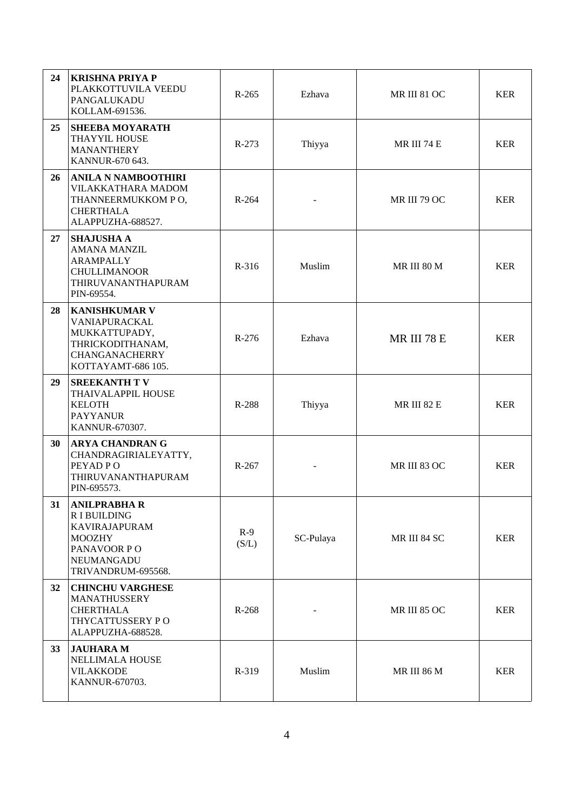| 24 | <b>KRISHNA PRIYA P</b><br>PLAKKOTTUVILA VEEDU<br>PANGALUKADU<br>KOLLAM-691536.                                                       | R-265          | Ezhava    | MR III 81 OC       | <b>KER</b> |
|----|--------------------------------------------------------------------------------------------------------------------------------------|----------------|-----------|--------------------|------------|
| 25 | <b>SHEEBA MOYARATH</b><br>THAYYIL HOUSE<br><b>MANANTHERY</b><br>KANNUR-670 643.                                                      | $R-273$        | Thiyya    | MR III 74 E        | <b>KER</b> |
| 26 | <b>ANILA N NAMBOOTHIRI</b><br>VILAKKATHARA MADOM<br>THANNEERMUKKOM PO,<br><b>CHERTHALA</b><br>ALAPPUZHA-688527.                      | $R-264$        |           | MR III 79 OC       | <b>KER</b> |
| 27 | <b>SHAJUSHA A</b><br><b>AMANA MANZIL</b><br><b>ARAMPALLY</b><br><b>CHULLIMANOOR</b><br>THIRUVANANTHAPURAM<br>PIN-69554.              | R-316          | Muslim    | MR III 80 M        | <b>KER</b> |
| 28 | <b>KANISHKUMAR V</b><br>VANIAPURACKAL<br>MUKKATTUPADY,<br>THRICKODITHANAM,<br>CHANGANACHERRY<br>KOTTAYAMT-686 105.                   | $R-276$        | Ezhava    | MR III 78 E        | <b>KER</b> |
| 29 | <b>SREEKANTH TV</b><br>THAIVALAPPIL HOUSE<br><b>KELOTH</b><br><b>PAYYANUR</b><br>KANNUR-670307.                                      | R-288          | Thiyya    | <b>MR III 82 E</b> | <b>KER</b> |
| 30 | <b>ARYA CHANDRAN G</b><br>CHANDRAGIRIALEYATTY,<br>PEYAD PO<br>THIRUVANANTHAPURAM<br>PIN-695573.                                      | R-267          |           | MR III 83 OC       | <b>KER</b> |
| 31 | <b>ANILPRABHA R</b><br><b>RIBUILDING</b><br><b>KAVIRAJAPURAM</b><br><b>MOOZHY</b><br>PANAVOOR PO<br>NEUMANGADU<br>TRIVANDRUM-695568. | $R-9$<br>(S/L) | SC-Pulaya | MR III 84 SC       | <b>KER</b> |
| 32 | <b>CHINCHU VARGHESE</b><br><b>MANATHUSSERY</b><br><b>CHERTHALA</b><br>THYCATTUSSERY PO<br>ALAPPUZHA-688528.                          | R-268          |           | MR III 85 OC       | <b>KER</b> |
| 33 | <b>JAUHARA M</b><br><b>NELLIMALA HOUSE</b><br><b>VILAKKODE</b><br>KANNUR-670703.                                                     | R-319          | Muslim    | MR III 86 M        | <b>KER</b> |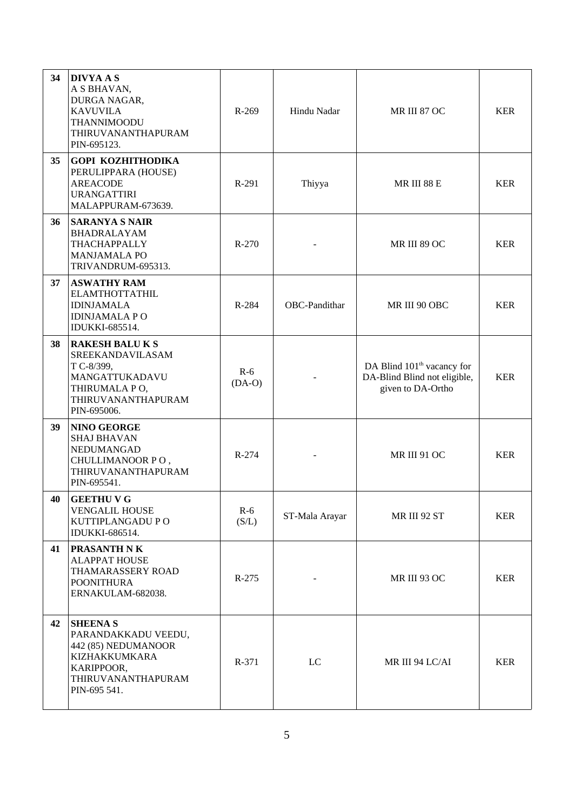| 34 | <b>DIVYA A S</b><br>A S BHAVAN,<br>DURGA NAGAR,<br><b>KAVUVILA</b><br>THANNIMOODU<br>THIRUVANANTHAPURAM<br>PIN-695123.                   | R-269             | Hindu Nadar    | MR III 87 OC                                                                                | <b>KER</b> |
|----|------------------------------------------------------------------------------------------------------------------------------------------|-------------------|----------------|---------------------------------------------------------------------------------------------|------------|
| 35 | <b>GOPI KOZHITHODIKA</b><br>PERULIPPARA (HOUSE)<br><b>AREACODE</b><br><b>URANGATTIRI</b><br>MALAPPURAM-673639.                           | R-291             | Thiyya         | MR III 88 E                                                                                 | <b>KER</b> |
| 36 | <b>SARANYA S NAIR</b><br>BHADRALAYAM<br>THACHAPPALLY<br><b>MANJAMALA PO</b><br>TRIVANDRUM-695313.                                        | $R-270$           |                | MR III 89 OC                                                                                | <b>KER</b> |
| 37 | <b>ASWATHY RAM</b><br><b>ELAMTHOTTATHIL</b><br><b>IDINJAMALA</b><br><b>IDINJAMALA PO</b><br>IDUKKI-685514.                               | R-284             | OBC-Pandithar  | MR III 90 OBC                                                                               | <b>KER</b> |
| 38 | <b>RAKESH BALUKS</b><br>SREEKANDAVILASAM<br>T C-8/399,<br>MANGATTUKADAVU<br>THIRUMALA PO,<br>THIRUVANANTHAPURAM<br>PIN-695006.           | $R-6$<br>$(DA-O)$ |                | DA Blind 101 <sup>th</sup> vacancy for<br>DA-Blind Blind not eligible,<br>given to DA-Ortho | <b>KER</b> |
| 39 | <b>NINO GEORGE</b><br><b>SHAJ BHAVAN</b><br>NEDUMANGAD<br>CHULLIMANOOR PO,<br>THIRUVANANTHAPURAM<br>PIN-695541.                          | $R-274$           |                | <b>MR III 91 OC</b>                                                                         | <b>KER</b> |
| 40 | <b>GEETHU V G</b><br><b>VENGALIL HOUSE</b><br>KUTTIPLANGADU PO<br>IDUKKI-686514.                                                         | $R-6$<br>(S/L)    | ST-Mala Arayar | MR III 92 ST                                                                                | <b>KER</b> |
| 41 | PRASANTH N K<br><b>ALAPPAT HOUSE</b><br>THAMARASSERY ROAD<br><b>POONITHURA</b><br>ERNAKULAM-682038.                                      | $R-275$           | MR III 93 OC   |                                                                                             | <b>KER</b> |
| 42 | <b>SHEENAS</b><br>PARANDAKKADU VEEDU,<br>442 (85) NEDUMANOOR<br><b>KIZHAKKUMKARA</b><br>KARIPPOOR,<br>THIRUVANANTHAPURAM<br>PIN-695 541. | R-371             | LC             | MR III 94 LC/AI                                                                             |            |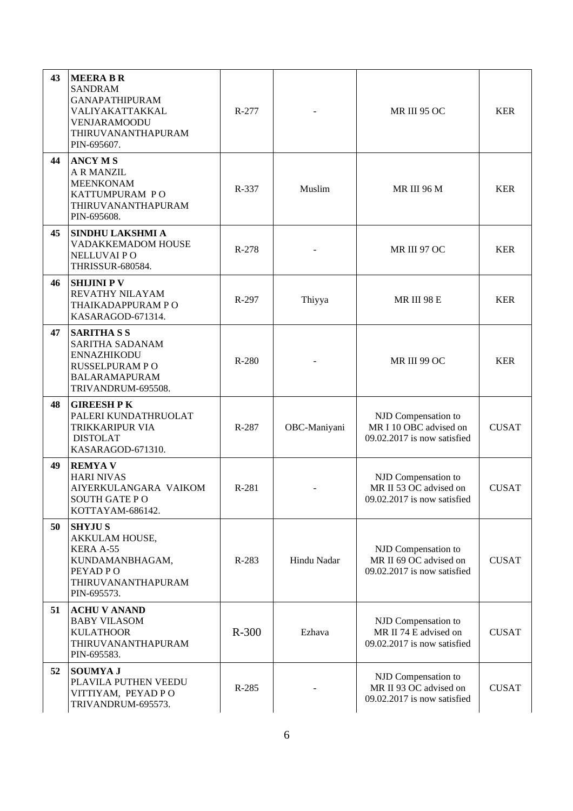| 43 | <b>MEERA B R</b><br><b>SANDRAM</b><br><b>GANAPATHIPURAM</b><br>VALIYAKATTAKKAL<br><b>VENJARAMOODU</b><br>THIRUVANANTHAPURAM<br>PIN-695607. | $R-277$ |              | <b>MR III 95 OC</b>                                                          | <b>KER</b>   |
|----|--------------------------------------------------------------------------------------------------------------------------------------------|---------|--------------|------------------------------------------------------------------------------|--------------|
| 44 | <b>ANCY MS</b><br><b>A R MANZIL</b><br><b>MEENKONAM</b><br>KATTUMPURAM PO<br>THIRUVANANTHAPURAM<br>PIN-695608.                             | R-337   | Muslim       | MR III 96 M                                                                  | <b>KER</b>   |
| 45 | <b>SINDHU LAKSHMI A</b><br>VADAKKEMADOM HOUSE<br>NELLUVAI PO<br><b>THRISSUR-680584.</b>                                                    | R-278   |              | MR III 97 OC                                                                 | <b>KER</b>   |
| 46 | <b>SHIJINI P V</b><br>REVATHY NILAYAM<br>THAIKADAPPURAM PO<br>KASARAGOD-671314.                                                            | R-297   | Thiyya       | MR III 98 E                                                                  | <b>KER</b>   |
| 47 | <b>SARITHASS</b><br>SARITHA SADANAM<br><b>ENNAZHIKODU</b><br>RUSSELPURAM PO<br><b>BALARAMAPURAM</b><br>TRIVANDRUM-695508.                  | R-280   |              | MR III 99 OC                                                                 | <b>KER</b>   |
| 48 | <b>GIREESH PK</b><br>PALERI KUNDATHRUOLAT<br>TRIKKARIPUR VIA<br><b>DISTOLAT</b><br>KASARAGOD-671310.                                       | R-287   | OBC-Maniyani | NJD Compensation to<br>MR I 10 OBC advised on<br>09.02.2017 is now satisfied | <b>CUSAT</b> |
| 49 | <b>REMYAV</b><br><b>HARI NIVAS</b><br>AIYERKULANGARA VAIKOM<br>SOUTH GATE PO<br>KOTTAYAM-686142.                                           | R-281   |              | NJD Compensation to<br>MR II 53 OC advised on<br>09.02.2017 is now satisfied | <b>CUSAT</b> |
| 50 | <b>SHYJU S</b><br>AKKULAM HOUSE,<br>KERA A-55<br>KUNDAMANBHAGAM,<br>PEYAD PO<br>THIRUVANANTHAPURAM<br>PIN-695573.                          | R-283   | Hindu Nadar  | NJD Compensation to<br>MR II 69 OC advised on<br>09.02.2017 is now satisfied | <b>CUSAT</b> |
| 51 | <b>ACHU V ANAND</b><br><b>BABY VILASOM</b><br><b>KULATHOOR</b><br>THIRUVANANTHAPURAM<br>PIN-695583.                                        | R-300   | Ezhava       | NJD Compensation to<br>MR II 74 E advised on<br>09.02.2017 is now satisfied  | <b>CUSAT</b> |
| 52 | <b>SOUMYA J</b><br>PLAVILA PUTHEN VEEDU<br>VITTIYAM, PEYAD PO<br>TRIVANDRUM-695573.                                                        | R-285   |              | NJD Compensation to<br>MR II 93 OC advised on<br>09.02.2017 is now satisfied | <b>CUSAT</b> |